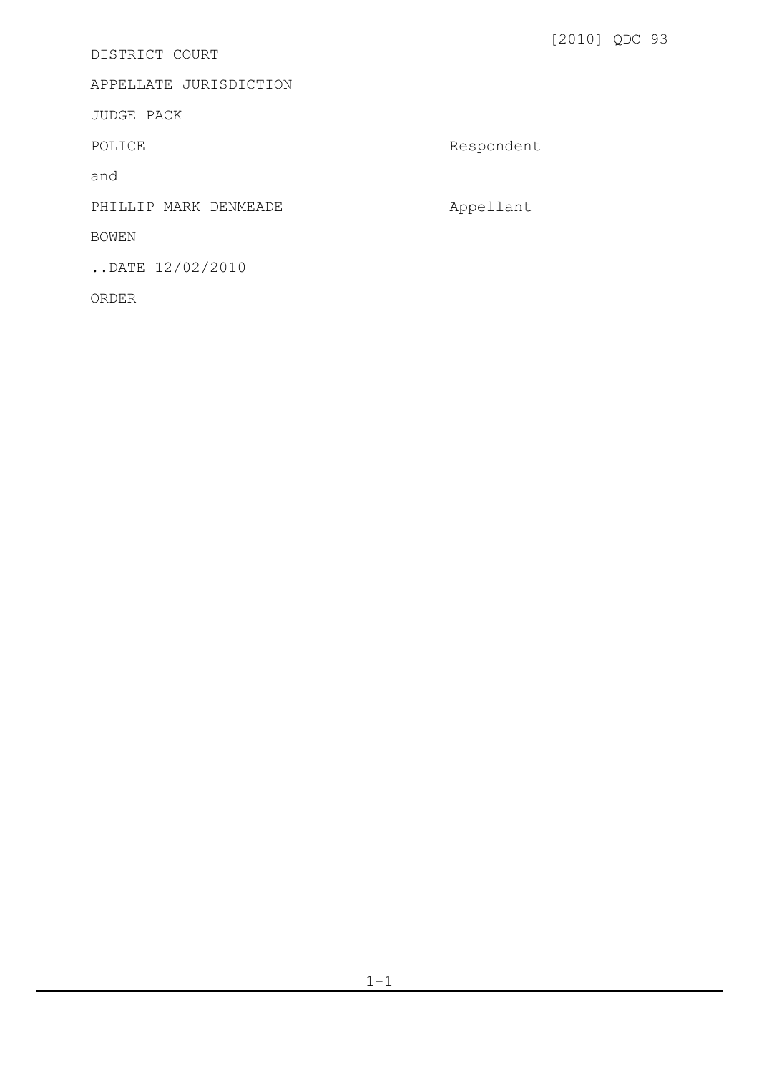DISTRICT COURT

APPELLATE JURISDICTION

JUDGE PACK

POLICE Respondent

and

PHILLIP MARK DENMEADE **Appellant** 

BOWEN

..DATE 12/02/2010

ORDER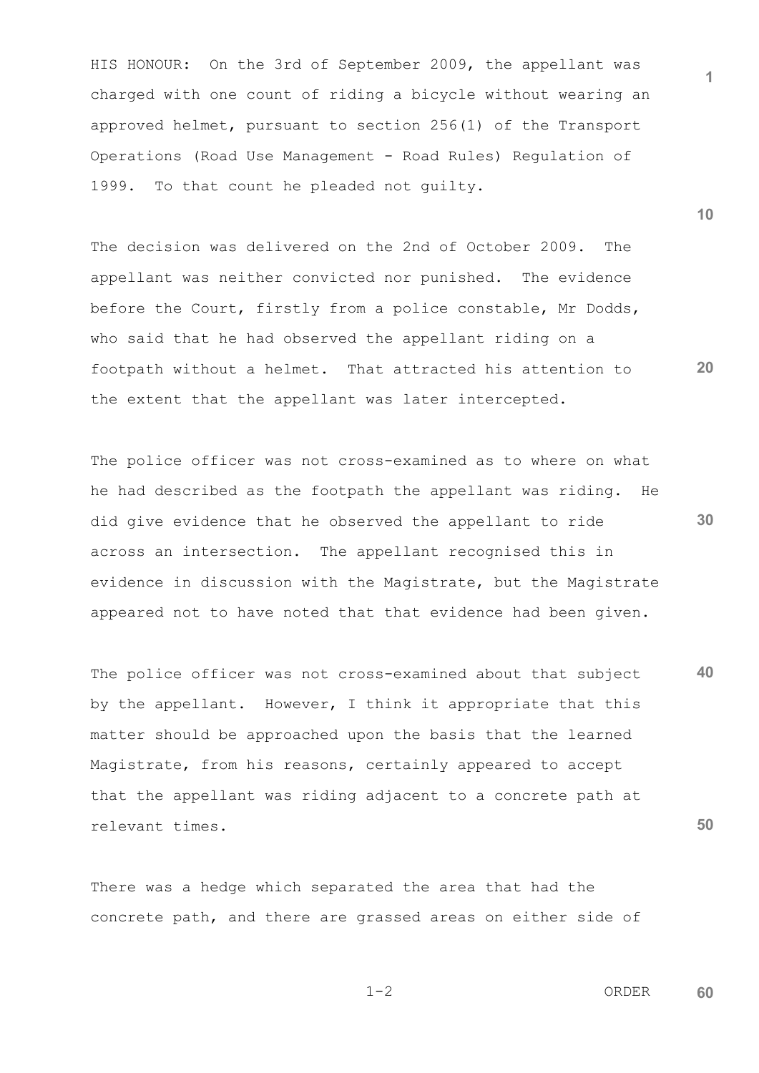HIS HONOUR: On the 3rd of September 2009, the appellant was charged with one count of riding a bicycle without wearing an approved helmet, pursuant to section 256(1) of the Transport Operations (Road Use Management - Road Rules) Regulation of 1999. To that count he pleaded not guilty.

The decision was delivered on the 2nd of October 2009. The appellant was neither convicted nor punished. The evidence before the Court, firstly from a police constable, Mr Dodds, who said that he had observed the appellant riding on a footpath without a helmet. That attracted his attention to the extent that the appellant was later intercepted.

The police officer was not cross-examined as to where on what he had described as the footpath the appellant was riding. He did give evidence that he observed the appellant to ride across an intersection. The appellant recognised this in evidence in discussion with the Magistrate, but the Magistrate appeared not to have noted that that evidence had been given.

**40 50** The police officer was not cross-examined about that subject by the appellant. However, I think it appropriate that this matter should be approached upon the basis that the learned Magistrate, from his reasons, certainly appeared to accept that the appellant was riding adjacent to a concrete path at relevant times.

There was a hedge which separated the area that had the concrete path, and there are grassed areas on either side of **10**

**1**

**20**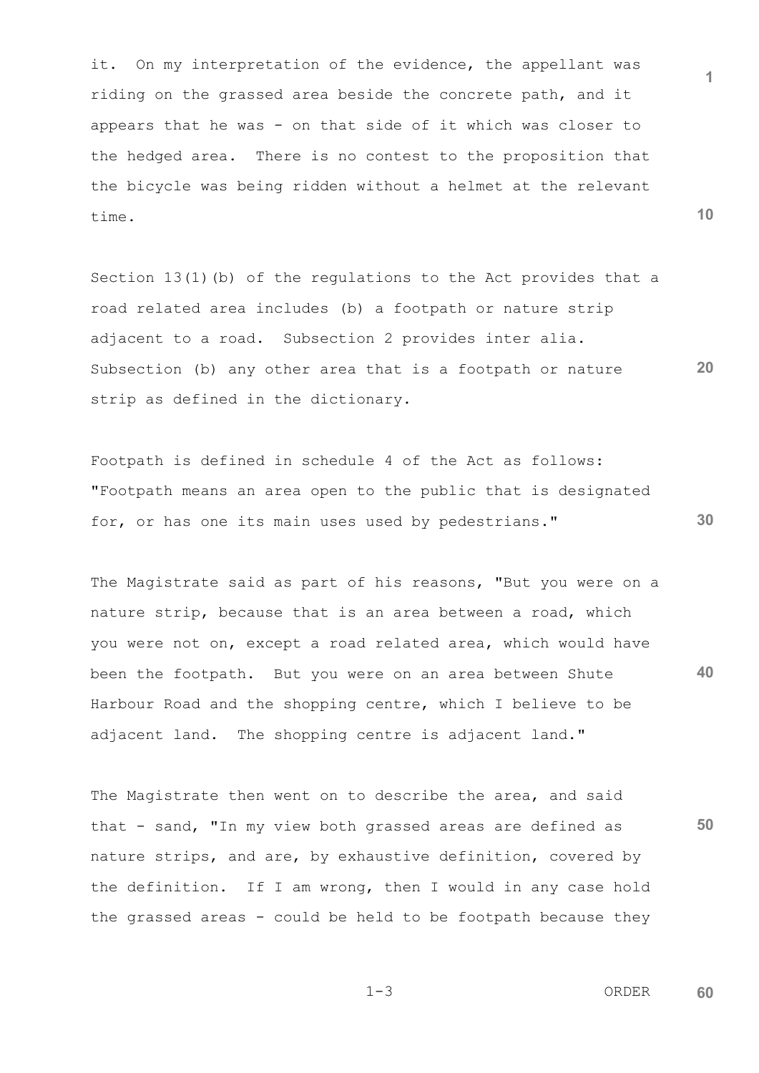it. On my interpretation of the evidence, the appellant was riding on the grassed area beside the concrete path, and it appears that he was - on that side of it which was closer to the hedged area. There is no contest to the proposition that the bicycle was being ridden without a helmet at the relevant time.

Section 13(1)(b) of the regulations to the Act provides that a road related area includes (b) a footpath or nature strip adjacent to a road. Subsection 2 provides inter alia. Subsection (b) any other area that is a footpath or nature strip as defined in the dictionary.

Footpath is defined in schedule 4 of the Act as follows: "Footpath means an area open to the public that is designated for, or has one its main uses used by pedestrians."

**40** The Magistrate said as part of his reasons, "But you were on a nature strip, because that is an area between a road, which you were not on, except a road related area, which would have been the footpath. But you were on an area between Shute Harbour Road and the shopping centre, which I believe to be adjacent land. The shopping centre is adjacent land."

The Magistrate then went on to describe the area, and said that - sand, "In my view both grassed areas are defined as nature strips, and are, by exhaustive definition, covered by the definition. If I am wrong, then I would in any case hold the grassed areas - could be held to be footpath because they **10**

**1**

**20**

**30**

**50**

 $1-3$  ORDER **60**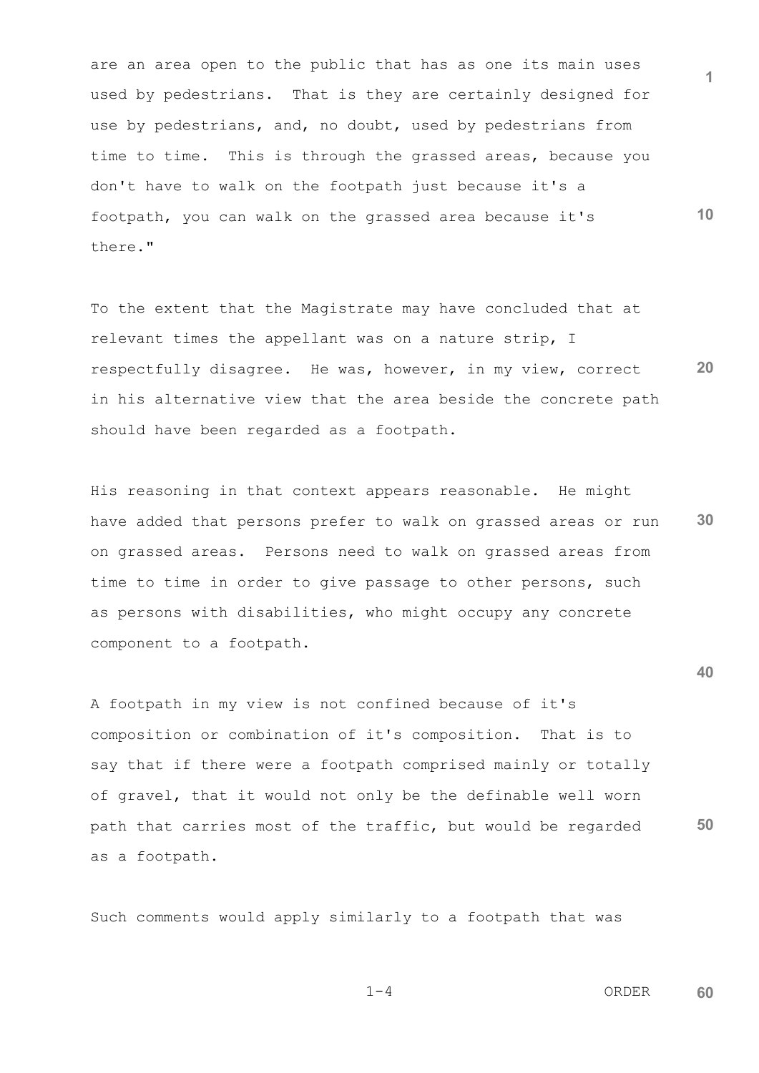are an area open to the public that has as one its main uses used by pedestrians. That is they are certainly designed for use by pedestrians, and, no doubt, used by pedestrians from time to time. This is through the grassed areas, because you don't have to walk on the footpath just because it's a footpath, you can walk on the grassed area because it's there."

**20** To the extent that the Magistrate may have concluded that at relevant times the appellant was on a nature strip, I respectfully disagree. He was, however, in my view, correct in his alternative view that the area beside the concrete path should have been regarded as a footpath.

**30** His reasoning in that context appears reasonable. He might have added that persons prefer to walk on grassed areas or run on grassed areas. Persons need to walk on grassed areas from time to time in order to give passage to other persons, such as persons with disabilities, who might occupy any concrete component to a footpath.

A footpath in my view is not confined because of it's composition or combination of it's composition. That is to say that if there were a footpath comprised mainly or totally of gravel, that it would not only be the definable well worn path that carries most of the traffic, but would be regarded as a footpath.

Such comments would apply similarly to a footpath that was

$$
1-4
$$

 $1-4$  ORDER **60**

**1**

**10**

**40**

**50**